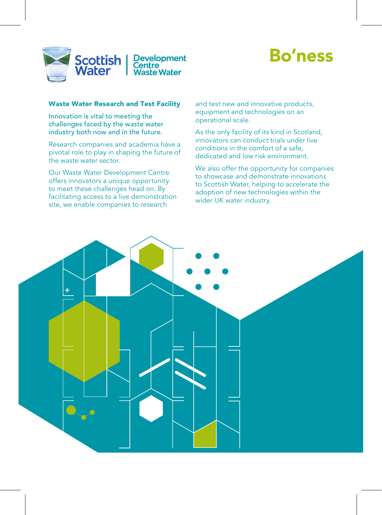

# **Bo'ness**

# Waste Water Research and Test Facility

Innovation is vital to meeting the challenges faced by the waste water industry both now and in the future.

Research companies and academia have a pivotal role to play in shaping the future of the waste water sector.

Our Waste Water Development Centre offers innovators a unique opportunity to meet these challenges head on. By facilitating access to a live demonstration site, we enable companies to research

and test new and innovative products, equipment and technologies on an operational scale.

As the only facility of its kind in Scotland, innovators can conduct trials under live conditions in the comfort of a safe, dedicated and low risk environment.

We also offer the opportunity for companies to showcase and demonstrate innovations to Scottish Water, helping to accelerate the adoption of new technologies within the wider UK water industry.